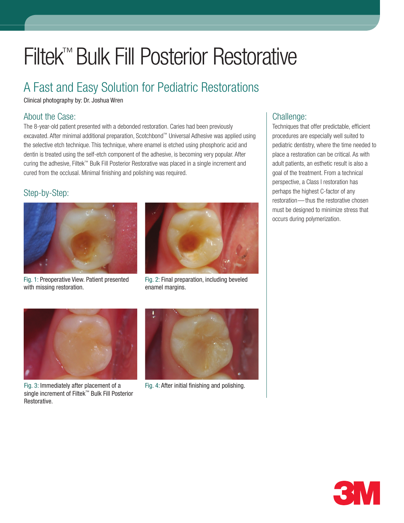# Filtek™ Bulk Fill Posterior Restorative

### A Fast and Easy Solution for Pediatric Restorations

Clinical photography by: Dr. Joshua Wren

#### About the Case:

The 8-year-old patient presented with a debonded restoration. Caries had been previously excavated. After minimal additional preparation, Scotchbond™ Universal Adhesive was applied using the selective etch technique. This technique, where enamel is etched using phosphoric acid and dentin is treated using the self-etch component of the adhesive, is becoming very popular. After curing the adhesive, Filtek™ Bulk Fill Posterior Restorative was placed in a single increment and cured from the occlusal. Minimal finishing and polishing was required.

### Step-by-Step:







Fig. 2: Final preparation, including beveled enamel margins.



Fig. 3: Immediately after placement of a single increment of Filtek™ Bulk Fill Posterior Restorative.



Fig. 4: After initial finishing and polishing.

#### Challenge:

Techniques that offer predictable, efficient procedures are especially well suited to pediatric dentistry, where the time needed to place a restoration can be critical. As with adult patients, an esthetic result is also a goal of the treatment. From a technical perspective, a Class I restoration has perhaps the highest C-factor of any restoration— thus the restorative chosen must be designed to minimize stress that occurs during polymerization.